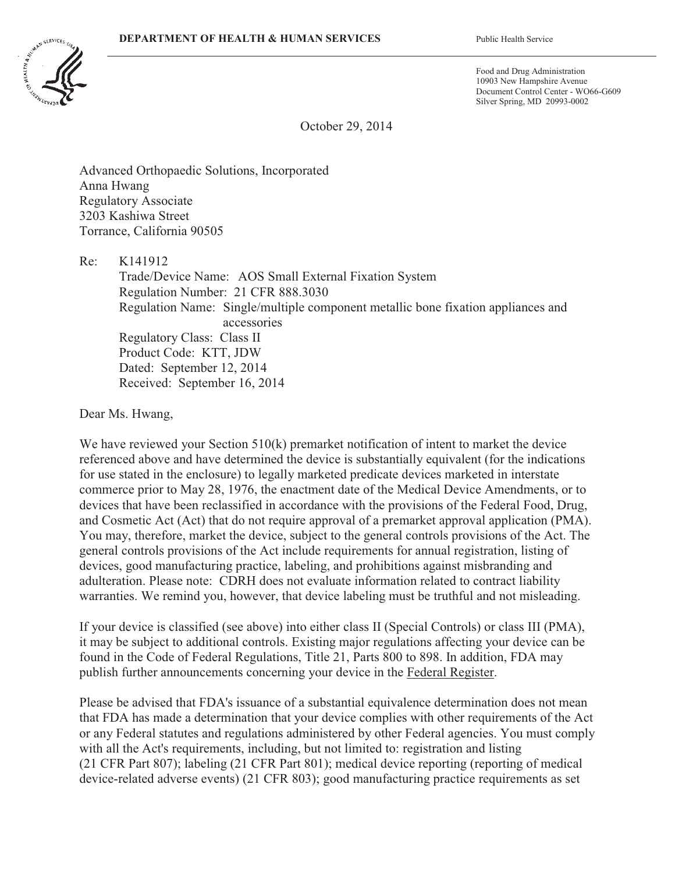

Food and Drug Administration 10903 New Hampshire Avenue Document Control Center - WO66-G609 Silver Spring, MD 20993-0002

October 29, 2014

Advanced Orthopaedic Solutions, Incorporated Anna Hwang Regulatory Associate 3203 Kashiwa Street Torrance, California 90505

Re: K141912 Trade/Device Name: AOS Small External Fixation System Regulation Number: 21 CFR 888.3030 Regulation Name: Single/multiple component metallic bone fixation appliances and accessories Regulatory Class: Class II Product Code: KTT, JDW Dated: September 12, 2014 Received: September 16, 2014

Dear Ms. Hwang,

We have reviewed your Section 510(k) premarket notification of intent to market the device referenced above and have determined the device is substantially equivalent (for the indications for use stated in the enclosure) to legally marketed predicate devices marketed in interstate commerce prior to May 28, 1976, the enactment date of the Medical Device Amendments, or to devices that have been reclassified in accordance with the provisions of the Federal Food, Drug, and Cosmetic Act (Act) that do not require approval of a premarket approval application (PMA). You may, therefore, market the device, subject to the general controls provisions of the Act. The general controls provisions of the Act include requirements for annual registration, listing of devices, good manufacturing practice, labeling, and prohibitions against misbranding and adulteration. Please note: CDRH does not evaluate information related to contract liability warranties. We remind you, however, that device labeling must be truthful and not misleading.

If your device is classified (see above) into either class II (Special Controls) or class III (PMA), it may be subject to additional controls. Existing major regulations affecting your device can be found in the Code of Federal Regulations, Title 21, Parts 800 to 898. In addition, FDA may publish further announcements concerning your device in the Federal Register.

Please be advised that FDA's issuance of a substantial equivalence determination does not mean that FDA has made a determination that your device complies with other requirements of the Act or any Federal statutes and regulations administered by other Federal agencies. You must comply with all the Act's requirements, including, but not limited to: registration and listing (21 CFR Part 807); labeling (21 CFR Part 801); medical device reporting (reporting of medical device-related adverse events) (21 CFR 803); good manufacturing practice requirements as set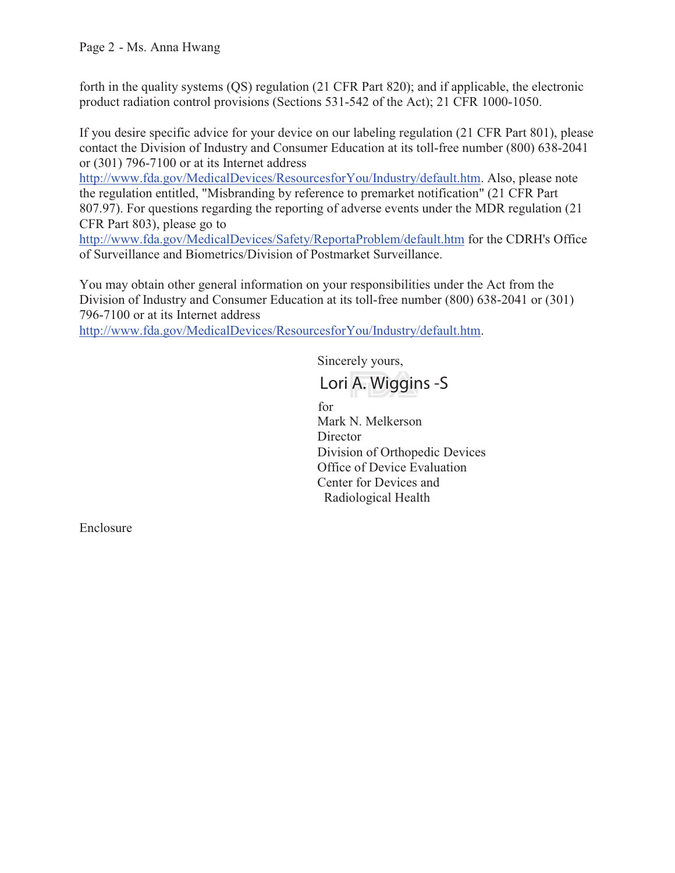forth in the quality systems (QS) regulation (21 CFR Part 820); and if applicable, the electronic product radiation control provisions (Sections 531-542 of the Act); 21 CFR 1000-1050.

If you desire specific advice for your device on our labeling regulation (21 CFR Part 801), please contact the Division of Industry and Consumer Education at its toll-free number (800) 638-2041 or (301) 796-7100 or at its Internet address

http://www.fda.gov/MedicalDevices/ResourcesforYou/Industry/default.htm. Also, please note the regulation entitled, "Misbranding by reference to premarket notification" (21 CFR Part 807.97). For questions regarding the reporting of adverse events under the MDR regulation (21 CFR Part 803), please go to

http://www.fda.gov/MedicalDevices/Safety/ReportaProblem/default.htm for the CDRH's Office of Surveillance and Biometrics/Division of Postmarket Surveillance.

You may obtain other general information on your responsibilities under the Act from the Division of Industry and Consumer Education at its toll-free number (800) 638-2041 or (301) 796-7100 or at its Internet address

http://www.fda.gov/MedicalDevices/ResourcesforYou/Industry/default.htm.

Sincerely yours,

Mark N. Melkerson **Director** Division of Orthopedic Devices Office of Device Evaluation Center for Devices and Radiological Health for  $\frac{1}{\sqrt{2}}$ 

Enclosure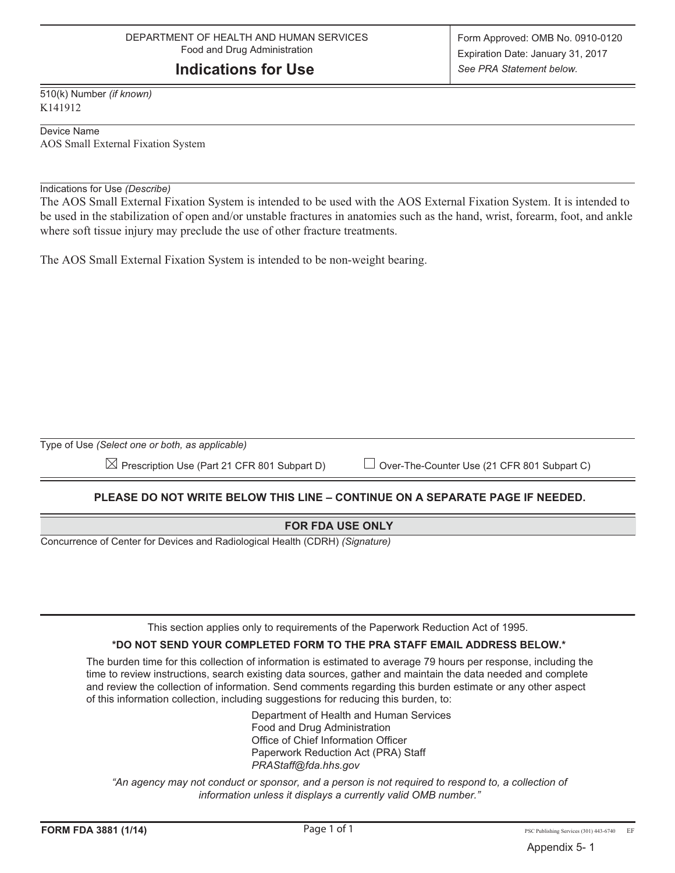# **Indications for Use**

510(k) Number *(if known)* K141912

Device Name AOS Small External Fixation System

### Indications for Use *(Describe)*

The AOS Small External Fixation System is intended to be used with the AOS External Fixation System. It is intended to be used in the stabilization of open and/or unstable fractures in anatomies such as the hand, wrist, forearm, foot, and ankle where soft tissue injury may preclude the use of other fracture treatments.

The AOS Small External Fixation System is intended to be non-weight bearing.

Type of Use *(Select one or both, as applicable)*

 $\boxtimes$  Prescription Use (Part 21 CFR 801 Subpart D)  $\quad \quad \sqcup$  Over-The-Counter Use (21 CFR 801 Subpart C)

# **PLEASE DO NOT WRITE BELOW THIS LINE – CONTINUE ON A SEPARATE PAGE IF NEEDED.**

## **FOR FDA USE ONLY**

Concurrence of Center for Devices and Radiological Health (CDRH) *(Signature)*

This section applies only to requirements of the Paperwork Reduction Act of 1995.

## **\*DO NOT SEND YOUR COMPLETED FORM TO THE PRA STAFF EMAIL ADDRESS BELOW.\***

The burden time for this collection of information is estimated to average 79 hours per response, including the time to review instructions, search existing data sources, gather and maintain the data needed and complete and review the collection of information. Send comments regarding this burden estimate or any other aspect of this information collection, including suggestions for reducing this burden, to:

> Department of Health and Human Services Food and Drug Administration Office of Chief Information Officer Paperwork Reduction Act (PRA) Staff *PRAStaff@fda.hhs.gov*

*"An agency may not conduct or sponsor, and a person is not required to respond to, a collection of information unless it displays a currently valid OMB number."*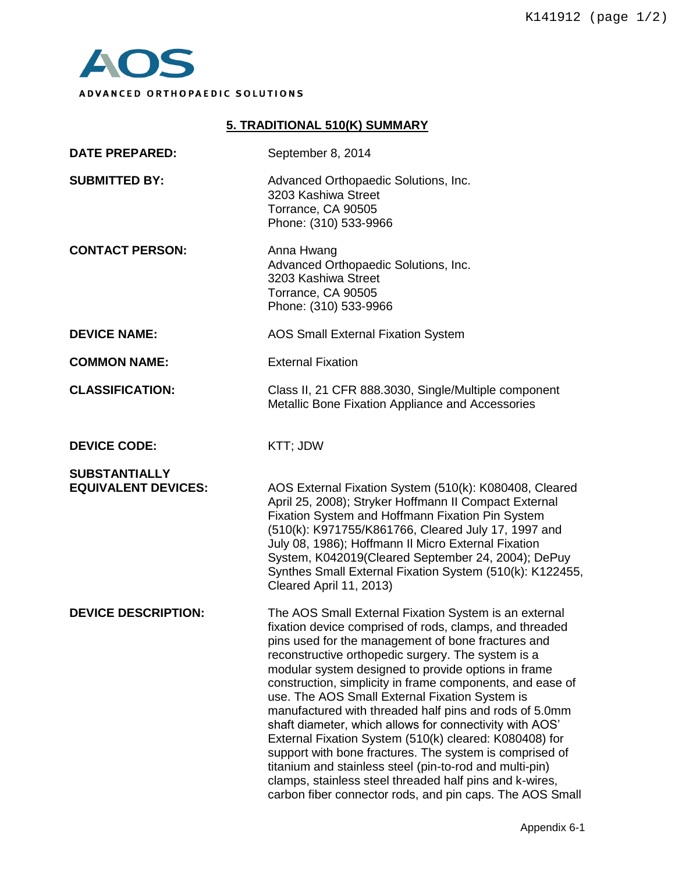

# **5. TRADITIONAL 510(K) SUMMARY DATE PREPARED:** September 8, 2014 **SUBMITTED BY:** Advanced Orthopaedic Solutions, Inc. 3203 Kashiwa Street Torrance, CA 90505 Phone: (310) 533-9966 **CONTACT PERSON:** Anna Hwang Advanced Orthopaedic Solutions, Inc. 3203 Kashiwa Street Torrance, CA 90505 Phone: (310) 533-9966 **DEVICE NAME:** AOS Small External Fixation System **COMMON NAME:** External Fixation **CLASSIFICATION:** Class II, 21 CFR 888.3030, Single/Multiple component Metallic Bone Fixation Appliance and Accessories **DEVICE CODE:** KTT; JDW **SUBSTANTIALLY EQUIVALENT DEVICES:** AOS External Fixation System (510(k): K080408, Cleared April 25, 2008); Stryker Hoffmann II Compact External Fixation System and Hoffmann Fixation Pin System (510(k): K971755/K861766, Cleared July 17, 1997 and July 08, 1986); Hoffmann Il Micro External Fixation System, K042019(Cleared September 24, 2004); DePuy Synthes Small External Fixation System (510(k): K122455, Cleared April 11, 2013) **DEVICE DESCRIPTION:** The AOS Small External Fixation System is an external fixation device comprised of rods, clamps, and threaded pins used for the management of bone fractures and reconstructive orthopedic surgery. The system is a modular system designed to provide options in frame construction, simplicity in frame components, and ease of use. The AOS Small External Fixation System is manufactured with threaded half pins and rods of 5.0mm shaft diameter, which allows for connectivity with AOS' External Fixation System (510(k) cleared: K080408) for support with bone fractures. The system is comprised of titanium and stainless steel (pin-to-rod and multi-pin) clamps, stainless steel threaded half pins and k-wires, carbon fiber connector rods, and pin caps. The AOS Small